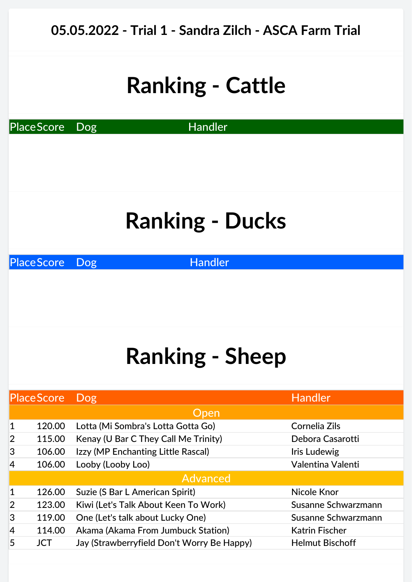| 05.05.2022 - Trial 1 - Sandra Zilch - ASCA Farm Trial |                   |                                            |                        |  |  |
|-------------------------------------------------------|-------------------|--------------------------------------------|------------------------|--|--|
| <b>Ranking - Cattle</b>                               |                   |                                            |                        |  |  |
| <b>Handler</b><br>Place Score<br><b>Dog</b>           |                   |                                            |                        |  |  |
|                                                       |                   |                                            |                        |  |  |
| <b>Ranking - Ducks</b>                                |                   |                                            |                        |  |  |
| <b>PlaceScore</b><br><b>Handler</b><br><b>Dog</b>     |                   |                                            |                        |  |  |
| <b>Ranking - Sheep</b>                                |                   |                                            |                        |  |  |
|                                                       | <b>PlaceScore</b> | <b>Dog</b>                                 | <b>Handler</b>         |  |  |
|                                                       |                   | Open                                       |                        |  |  |
| 1                                                     | 120.00            | Lotta (Mi Sombra's Lotta Gotta Go)         | Cornelia Zils          |  |  |
| $\overline{2}$                                        | 115.00            | Kenay (U Bar C They Call Me Trinity)       | Debora Casarotti       |  |  |
| 3                                                     | 106.00            | Izzy (MP Enchanting Little Rascal)         | Iris Ludewig           |  |  |
| 4                                                     | 106.00            | Looby (Looby Loo)                          | Valentina Valenti      |  |  |
|                                                       |                   | <b>Advanced</b>                            |                        |  |  |
| 1                                                     | 126.00            | Suzie (S Bar L American Spirit)            | Nicole Knor            |  |  |
| 2                                                     | 123.00            | Kiwi (Let's Talk About Keen To Work)       | Susanne Schwarzmann    |  |  |
| 3                                                     | 119.00            | One (Let's talk about Lucky One)           | Susanne Schwarzmann    |  |  |
| 4                                                     | 114.00            | Akama (Akama From Jumbuck Station)         | <b>Katrin Fischer</b>  |  |  |
| 5                                                     | <b>JCT</b>        | Jay (Strawberryfield Don't Worry Be Happy) | <b>Helmut Bischoff</b> |  |  |
|                                                       |                   |                                            |                        |  |  |